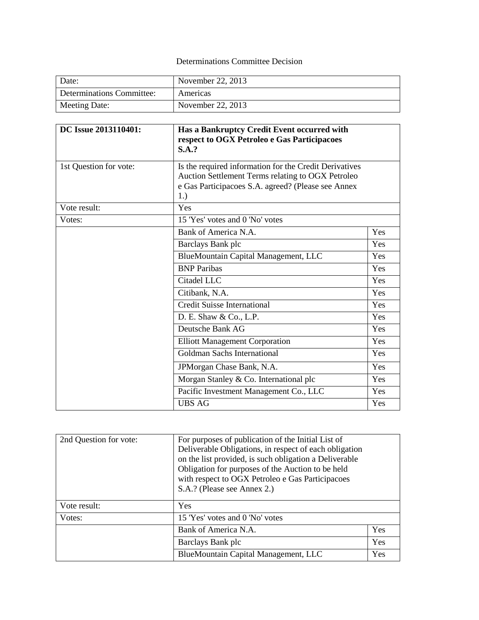# Determinations Committee Decision

| Date:                     | November 22, 2013 |
|---------------------------|-------------------|
| Determinations Committee: | Americas          |
| Meeting Date:             | November 22, 2013 |

| DC Issue 2013110401:   | Has a Bankruptcy Credit Event occurred with<br>respect to OGX Petroleo e Gas Participacoes<br><b>S.A.?</b>                                                               |     |  |
|------------------------|--------------------------------------------------------------------------------------------------------------------------------------------------------------------------|-----|--|
| 1st Question for vote: | Is the required information for the Credit Derivatives<br>Auction Settlement Terms relating to OGX Petroleo<br>e Gas Participacoes S.A. agreed? (Please see Annex<br>1.) |     |  |
| Vote result:           | Yes                                                                                                                                                                      |     |  |
| Votes:                 | 15 'Yes' votes and 0 'No' votes                                                                                                                                          |     |  |
|                        | Bank of America N.A.                                                                                                                                                     | Yes |  |
|                        | Barclays Bank plc                                                                                                                                                        | Yes |  |
|                        | BlueMountain Capital Management, LLC                                                                                                                                     | Yes |  |
|                        | <b>BNP</b> Paribas                                                                                                                                                       | Yes |  |
|                        | Citadel LLC                                                                                                                                                              | Yes |  |
|                        | Citibank, N.A.                                                                                                                                                           | Yes |  |
|                        | <b>Credit Suisse International</b>                                                                                                                                       | Yes |  |
|                        | D. E. Shaw & Co., L.P.                                                                                                                                                   | Yes |  |
|                        | Deutsche Bank AG                                                                                                                                                         | Yes |  |
|                        | <b>Elliott Management Corporation</b>                                                                                                                                    | Yes |  |
|                        | Goldman Sachs International                                                                                                                                              | Yes |  |
|                        | JPMorgan Chase Bank, N.A.                                                                                                                                                | Yes |  |
|                        | Morgan Stanley & Co. International plc                                                                                                                                   | Yes |  |
|                        | Pacific Investment Management Co., LLC                                                                                                                                   | Yes |  |
|                        | <b>UBS AG</b>                                                                                                                                                            | Yes |  |

| 2nd Question for vote: | For purposes of publication of the Initial List of<br>Deliverable Obligations, in respect of each obligation<br>on the list provided, is such obligation a Deliverable<br>Obligation for purposes of the Auction to be held<br>with respect to OGX Petroleo e Gas Participacoes<br>S.A.? (Please see Annex 2.) |     |
|------------------------|----------------------------------------------------------------------------------------------------------------------------------------------------------------------------------------------------------------------------------------------------------------------------------------------------------------|-----|
| Vote result:           | <b>Yes</b>                                                                                                                                                                                                                                                                                                     |     |
| Votes:                 | 15 'Yes' votes and 0 'No' votes                                                                                                                                                                                                                                                                                |     |
|                        | Bank of America N.A.                                                                                                                                                                                                                                                                                           | Yes |
|                        | Yes<br>Barclays Bank plc                                                                                                                                                                                                                                                                                       |     |
|                        | BlueMountain Capital Management, LLC<br>Yes                                                                                                                                                                                                                                                                    |     |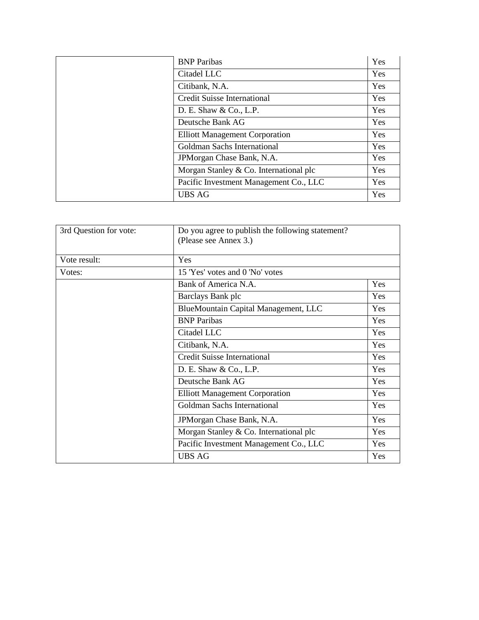| <b>BNP</b> Paribas                     | Yes        |
|----------------------------------------|------------|
| Citadel LLC                            | Yes        |
| Citibank, N.A.                         | Yes        |
| <b>Credit Suisse International</b>     | <b>Yes</b> |
| D. E. Shaw & Co., L.P.                 | <b>Yes</b> |
| Deutsche Bank AG                       | Yes        |
| <b>Elliott Management Corporation</b>  | Yes        |
| Goldman Sachs International            | Yes        |
| JPM organ Chase Bank, N.A.             | Yes        |
| Morgan Stanley & Co. International plc | Yes        |
| Pacific Investment Management Co., LLC | Yes        |
| <b>UBS AG</b>                          | Yes        |

| 3rd Question for vote: | Do you agree to publish the following statement?<br>(Please see Annex 3.) |     |
|------------------------|---------------------------------------------------------------------------|-----|
| Vote result:           | Yes                                                                       |     |
| Votes:                 | 15 'Yes' votes and 0 'No' votes                                           |     |
|                        | Bank of America N.A.                                                      | Yes |
|                        | Barclays Bank plc                                                         | Yes |
|                        | BlueMountain Capital Management, LLC                                      | Yes |
|                        | <b>BNP</b> Paribas                                                        | Yes |
|                        | Citadel LLC                                                               | Yes |
|                        | Citibank, N.A.                                                            | Yes |
|                        | <b>Credit Suisse International</b>                                        | Yes |
|                        | D. E. Shaw & Co., L.P.                                                    | Yes |
|                        | Deutsche Bank AG                                                          | Yes |
|                        | <b>Elliott Management Corporation</b>                                     | Yes |
|                        | Goldman Sachs International                                               | Yes |
|                        | JPMorgan Chase Bank, N.A.                                                 | Yes |
|                        | Morgan Stanley & Co. International plc                                    | Yes |
|                        | Pacific Investment Management Co., LLC                                    | Yes |
|                        | <b>UBS AG</b>                                                             | Yes |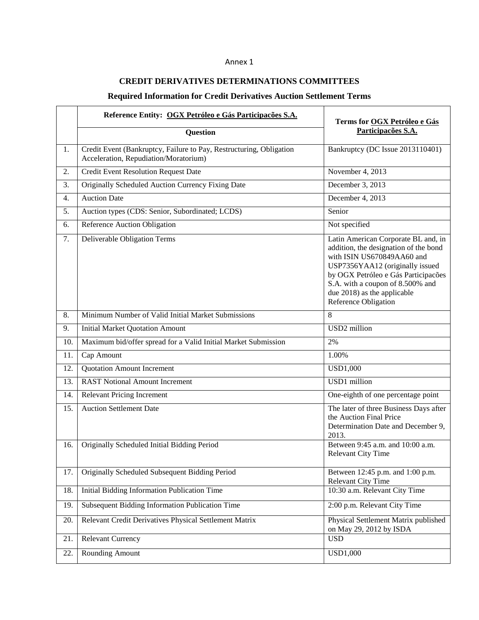### Annex 1

## **CREDIT DERIVATIVES DETERMINATIONS COMMITTEES**

# **Required Information for Credit Derivatives Auction Settlement Terms**

|     | Reference Entity: OGX Petróleo e Gás Participações S.A.                                                      | Terms for OGX Petróleo e Gás                                                                                                                                                                                                                                                    |
|-----|--------------------------------------------------------------------------------------------------------------|---------------------------------------------------------------------------------------------------------------------------------------------------------------------------------------------------------------------------------------------------------------------------------|
|     | Question                                                                                                     | Participações S.A.                                                                                                                                                                                                                                                              |
| 1.  | Credit Event (Bankruptcy, Failure to Pay, Restructuring, Obligation<br>Acceleration, Repudiation/Moratorium) | Bankruptcy (DC Issue 2013110401)                                                                                                                                                                                                                                                |
| 2.  | Credit Event Resolution Request Date                                                                         | November 4, 2013                                                                                                                                                                                                                                                                |
| 3.  | Originally Scheduled Auction Currency Fixing Date                                                            | December 3, 2013                                                                                                                                                                                                                                                                |
| 4.  | <b>Auction Date</b>                                                                                          | December 4, 2013                                                                                                                                                                                                                                                                |
| 5.  | Auction types (CDS: Senior, Subordinated; LCDS)                                                              | Senior                                                                                                                                                                                                                                                                          |
| 6.  | Reference Auction Obligation                                                                                 | Not specified                                                                                                                                                                                                                                                                   |
| 7.  | Deliverable Obligation Terms                                                                                 | Latin American Corporate BL and, in<br>addition, the designation of the bond<br>with ISIN US670849AA60 and<br>USP7356YAA12 (originally issued<br>by OGX Petróleo e Gás Participações<br>S.A. with a coupon of 8.500% and<br>due 2018) as the applicable<br>Reference Obligation |
| 8.  | Minimum Number of Valid Initial Market Submissions                                                           | 8                                                                                                                                                                                                                                                                               |
| 9.  | <b>Initial Market Quotation Amount</b>                                                                       | USD <sub>2</sub> million                                                                                                                                                                                                                                                        |
| 10. | Maximum bid/offer spread for a Valid Initial Market Submission                                               | 2%                                                                                                                                                                                                                                                                              |
| 11. | Cap Amount                                                                                                   | 1.00%                                                                                                                                                                                                                                                                           |
| 12. | <b>Quotation Amount Increment</b>                                                                            | <b>USD1,000</b>                                                                                                                                                                                                                                                                 |
| 13. | <b>RAST Notional Amount Increment</b>                                                                        | USD1 million                                                                                                                                                                                                                                                                    |
| 14. | <b>Relevant Pricing Increment</b>                                                                            | One-eighth of one percentage point                                                                                                                                                                                                                                              |
| 15. | <b>Auction Settlement Date</b>                                                                               | The later of three Business Days after<br>the Auction Final Price<br>Determination Date and December 9,<br>2013.                                                                                                                                                                |
| 16. | Originally Scheduled Initial Bidding Period                                                                  | Between 9:45 a.m. and 10:00 a.m.<br><b>Relevant City Time</b>                                                                                                                                                                                                                   |
| 17. | Originally Scheduled Subsequent Bidding Period                                                               | Between 12:45 p.m. and 1:00 p.m.<br><b>Relevant City Time</b>                                                                                                                                                                                                                   |
| 18. | Initial Bidding Information Publication Time                                                                 | 10:30 a.m. Relevant City Time                                                                                                                                                                                                                                                   |
| 19. | Subsequent Bidding Information Publication Time                                                              | 2:00 p.m. Relevant City Time                                                                                                                                                                                                                                                    |
| 20. | Relevant Credit Derivatives Physical Settlement Matrix                                                       | Physical Settlement Matrix published<br>on May 29, 2012 by ISDA                                                                                                                                                                                                                 |
| 21. | <b>Relevant Currency</b>                                                                                     | <b>USD</b>                                                                                                                                                                                                                                                                      |
| 22. | Rounding Amount                                                                                              | <b>USD1,000</b>                                                                                                                                                                                                                                                                 |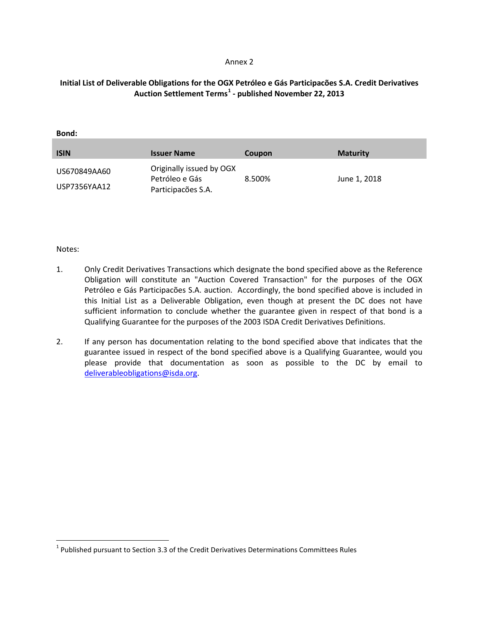#### Annex 2

# **Initial List of Deliverable Obligations for the OGX Petróleo e Gás Participacões S.A. Credit Derivatives Auction Settlement Terms[1](#page-3-0) - published November 22, 2013**

### **Bond:**

| <b>ISIN</b>                  | <b>Issuer Name</b>                                               | Coupon | <b>Maturity</b> |
|------------------------------|------------------------------------------------------------------|--------|-----------------|
| US670849AA60<br>USP7356YAA12 | Originally issued by OGX<br>Petróleo e Gás<br>Participações S.A. | 8.500% | June 1, 2018    |

### Notes:

- 1. Only Credit Derivatives Transactions which designate the bond specified above as the Reference Obligation will constitute an "Auction Covered Transaction" for the purposes of the OGX Petróleo e Gás Participacões S.A. auction. Accordingly, the bond specified above is included in this Initial List as a Deliverable Obligation, even though at present the DC does not have sufficient information to conclude whether the guarantee given in respect of that bond is a Qualifying Guarantee for the purposes of the 2003 ISDA Credit Derivatives Definitions.
- 2. If any person has documentation relating to the bond specified above that indicates that the guarantee issued in respect of the bond specified above is a Qualifying Guarantee, would you please provide that documentation as soon as possible to the DC by email to [deliverableobligations@isda.org.](mailto:deliverableobligations@isda.org)

<span id="page-3-0"></span> $1$  Published pursuant to Section 3.3 of the Credit Derivatives Determinations Committees Rules